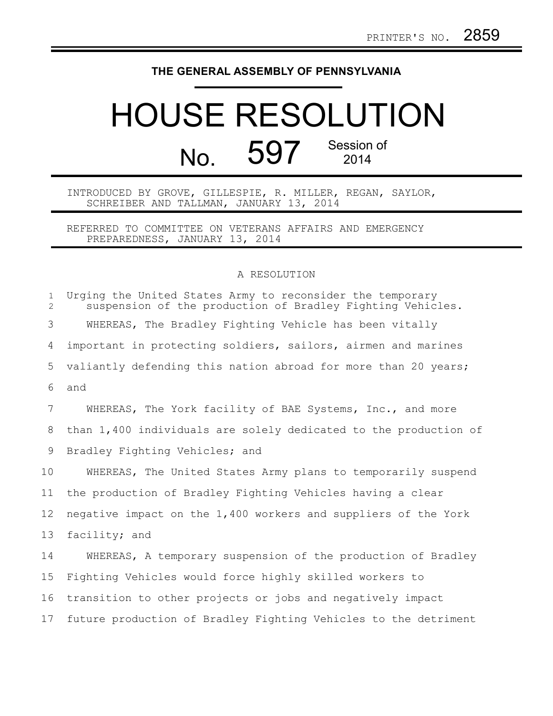## **THE GENERAL ASSEMBLY OF PENNSYLVANIA**

## HOUSE RESOLUTION No. 597 Session of 2014

INTRODUCED BY GROVE, GILLESPIE, R. MILLER, REGAN, SAYLOR, SCHREIBER AND TALLMAN, JANUARY 13, 2014

REFERRED TO COMMITTEE ON VETERANS AFFAIRS AND EMERGENCY PREPAREDNESS, JANUARY 13, 2014

## A RESOLUTION

| $\mathbf{1}$<br>$\overline{2}$ | Urging the United States Army to reconsider the temporary<br>suspension of the production of Bradley Fighting Vehicles. |
|--------------------------------|-------------------------------------------------------------------------------------------------------------------------|
| 3                              | WHEREAS, The Bradley Fighting Vehicle has been vitally                                                                  |
| 4                              | important in protecting soldiers, sailors, airmen and marines                                                           |
| 5                              | valiantly defending this nation abroad for more than 20 years;                                                          |
| 6                              | and                                                                                                                     |
| 7                              | WHEREAS, The York facility of BAE Systems, Inc., and more                                                               |
| 8                              | than 1,400 individuals are solely dedicated to the production of                                                        |
| 9                              | Bradley Fighting Vehicles; and                                                                                          |
| 10                             | WHEREAS, The United States Army plans to temporarily suspend                                                            |
| 11                             | the production of Bradley Fighting Vehicles having a clear                                                              |
| 12                             | negative impact on the 1,400 workers and suppliers of the York                                                          |
| 13                             | facility; and                                                                                                           |
| 14                             | WHEREAS, A temporary suspension of the production of Bradley                                                            |
| 15                             | Fighting Vehicles would force highly skilled workers to                                                                 |
| 16                             | transition to other projects or jobs and negatively impact                                                              |
| 17                             | future production of Bradley Fighting Vehicles to the detriment                                                         |